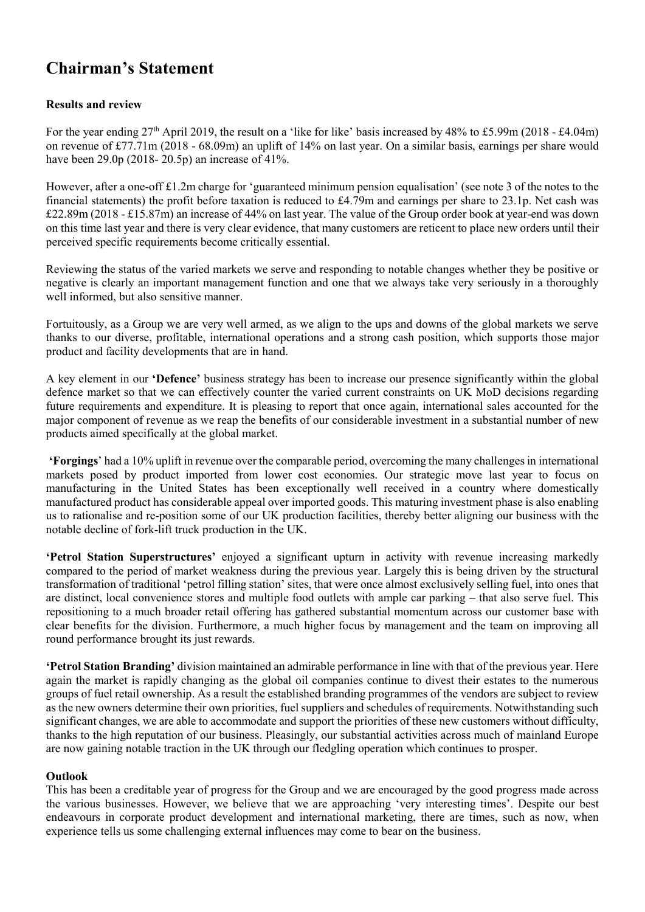# Chairman's Statement

# Results and review

For the year ending 27<sup>th</sup> April 2019, the result on a 'like for like' basis increased by 48% to £5.99m (2018 - £4.04m) on revenue of £77.71m (2018 - 68.09m) an uplift of 14% on last year. On a similar basis, earnings per share would have been 29.0p (2018- 20.5p) an increase of 41%.

However, after a one-off £1.2m charge for 'guaranteed minimum pension equalisation' (see note 3 of the notes to the financial statements) the profit before taxation is reduced to £4.79m and earnings per share to 23.1p. Net cash was £22.89m (2018 - £15.87m) an increase of 44% on last year. The value of the Group order book at year-end was down on this time last year and there is very clear evidence, that many customers are reticent to place new orders until their perceived specific requirements become critically essential.

Reviewing the status of the varied markets we serve and responding to notable changes whether they be positive or negative is clearly an important management function and one that we always take very seriously in a thoroughly well informed, but also sensitive manner.

Fortuitously, as a Group we are very well armed, as we align to the ups and downs of the global markets we serve thanks to our diverse, profitable, international operations and a strong cash position, which supports those major product and facility developments that are in hand.

A key element in our 'Defence' business strategy has been to increase our presence significantly within the global defence market so that we can effectively counter the varied current constraints on UK MoD decisions regarding future requirements and expenditure. It is pleasing to report that once again, international sales accounted for the major component of revenue as we reap the benefits of our considerable investment in a substantial number of new products aimed specifically at the global market.

'Forgings' had a 10% uplift in revenue over the comparable period, overcoming the many challenges in international markets posed by product imported from lower cost economies. Our strategic move last year to focus on manufacturing in the United States has been exceptionally well received in a country where domestically manufactured product has considerable appeal over imported goods. This maturing investment phase is also enabling us to rationalise and re-position some of our UK production facilities, thereby better aligning our business with the notable decline of fork-lift truck production in the UK.

'Petrol Station Superstructures' enjoyed a significant upturn in activity with revenue increasing markedly compared to the period of market weakness during the previous year. Largely this is being driven by the structural transformation of traditional 'petrol filling station' sites, that were once almost exclusively selling fuel, into ones that are distinct, local convenience stores and multiple food outlets with ample car parking – that also serve fuel. This repositioning to a much broader retail offering has gathered substantial momentum across our customer base with clear benefits for the division. Furthermore, a much higher focus by management and the team on improving all round performance brought its just rewards.

'Petrol Station Branding' division maintained an admirable performance in line with that of the previous year. Here again the market is rapidly changing as the global oil companies continue to divest their estates to the numerous groups of fuel retail ownership. As a result the established branding programmes of the vendors are subject to review as the new owners determine their own priorities, fuel suppliers and schedules of requirements. Notwithstanding such significant changes, we are able to accommodate and support the priorities of these new customers without difficulty, thanks to the high reputation of our business. Pleasingly, our substantial activities across much of mainland Europe are now gaining notable traction in the UK through our fledgling operation which continues to prosper.

# **Outlook**

This has been a creditable year of progress for the Group and we are encouraged by the good progress made across the various businesses. However, we believe that we are approaching 'very interesting times'. Despite our best endeavours in corporate product development and international marketing, there are times, such as now, when experience tells us some challenging external influences may come to bear on the business.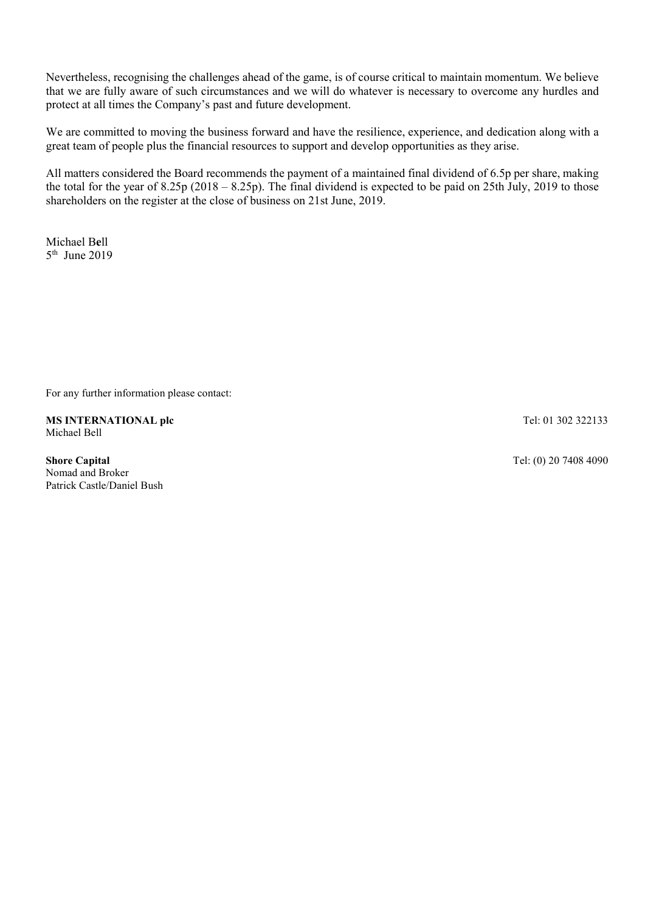Nevertheless, recognising the challenges ahead of the game, is of course critical to maintain momentum. We believe that we are fully aware of such circumstances and we will do whatever is necessary to overcome any hurdles and protect at all times the Company's past and future development.

We are committed to moving the business forward and have the resilience, experience, and dedication along with a great team of people plus the financial resources to support and develop opportunities as they arise.

All matters considered the Board recommends the payment of a maintained final dividend of 6.5p per share, making the total for the year of 8.25p (2018 – 8.25p). The final dividend is expected to be paid on 25th July, 2019 to those shareholders on the register at the close of business on 21st June, 2019.

Michael Bell 5th June 2019

For any further information please contact:

MS INTERNATIONAL plc Michael Bell

Shore Capital Nomad and Broker Patrick Castle/Daniel Bush Tel: 01 302 322133

Tel: (0) 20 7408 4090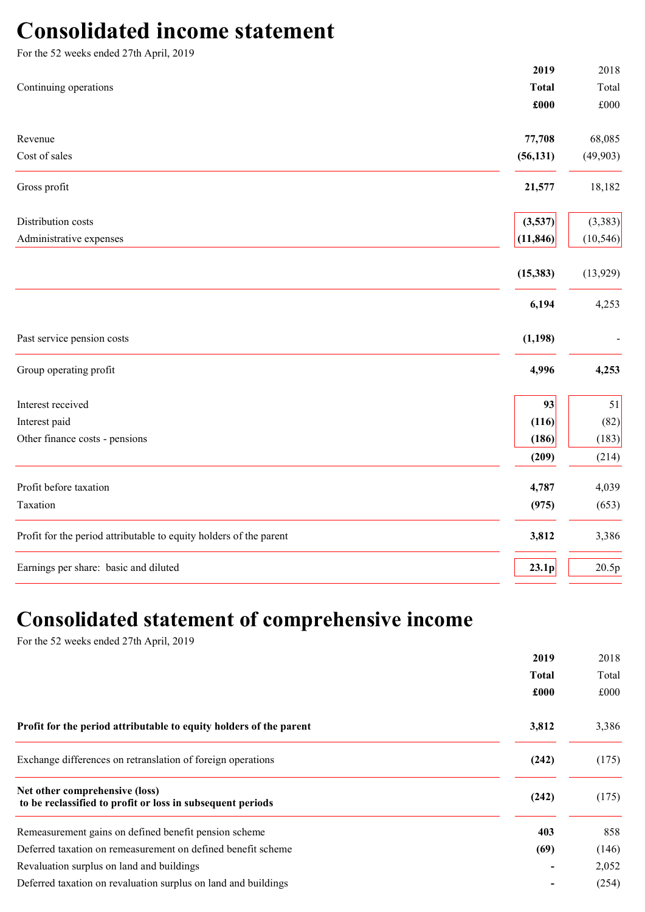# Consolidated income statement

| For the 52 weeks ended 27th April, 2019                            |              |              |
|--------------------------------------------------------------------|--------------|--------------|
|                                                                    | 2019         | 2018         |
| Continuing operations                                              | <b>Total</b> | Total        |
|                                                                    | £000         | $\pounds000$ |
| Revenue                                                            | 77,708       | 68,085       |
| Cost of sales                                                      | (56, 131)    | (49, 903)    |
| Gross profit                                                       | 21,577       | 18,182       |
| Distribution costs                                                 | (3,537)      | (3,383)      |
| Administrative expenses                                            | (11, 846)    | (10, 546)    |
|                                                                    | (15, 383)    | (13,929)     |
|                                                                    | 6,194        | 4,253        |
| Past service pension costs                                         | (1, 198)     |              |
| Group operating profit                                             | 4,996        | 4,253        |
| Interest received                                                  | 93           | 51           |
| Interest paid                                                      | (116)        | (82)         |
| Other finance costs - pensions                                     | (186)        | (183)        |
|                                                                    | (209)        | (214)        |
| Profit before taxation                                             | 4,787        | 4,039        |
| Taxation                                                           | (975)        | (653)        |
| Profit for the period attributable to equity holders of the parent | 3,812        | 3,386        |
| Earnings per share: basic and diluted                              | 23.1p        | 20.5p        |

# Consolidated statement of comprehensive income

For the 52 weeks ended 27th April, 2019

|                                                                                              | 2019         | 2018  |
|----------------------------------------------------------------------------------------------|--------------|-------|
|                                                                                              | <b>Total</b> | Total |
|                                                                                              | £000         | £000  |
| Profit for the period attributable to equity holders of the parent                           | 3,812        | 3,386 |
| Exchange differences on retranslation of foreign operations                                  | (242)        | (175) |
| Net other comprehensive (loss)<br>to be reclassified to profit or loss in subsequent periods | (242)        | (175) |
| Remeasurement gains on defined benefit pension scheme                                        | 403          | 858   |
| Deferred taxation on remeasurement on defined benefit scheme                                 | (69)         | (146) |
| Revaluation surplus on land and buildings                                                    |              | 2,052 |
| Deferred taxation on revaluation surplus on land and buildings                               |              | (254) |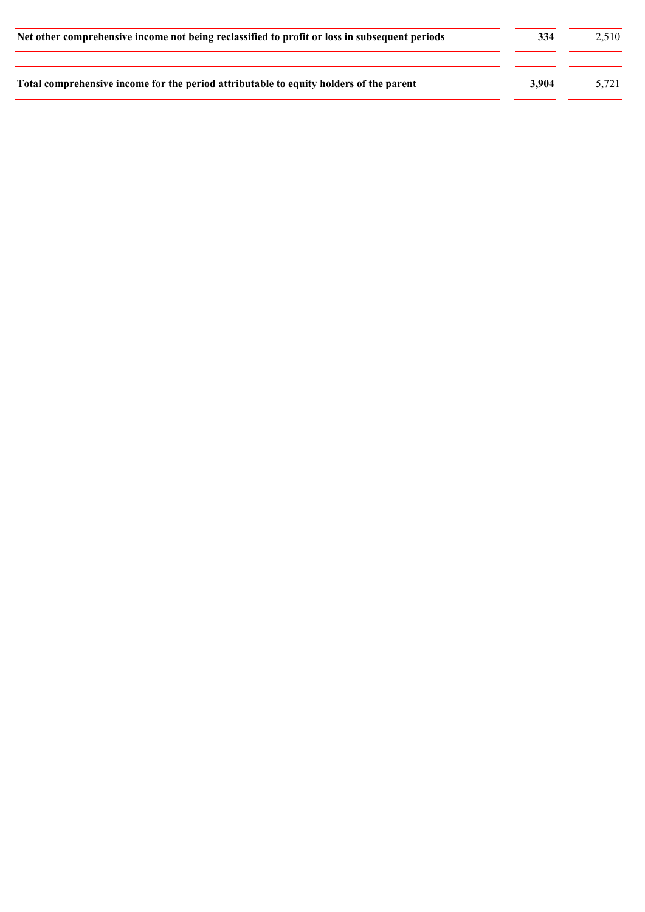| Net other comprehensive income not being reclassified to profit or loss in subsequent periods | 334   | 2.510 |  |
|-----------------------------------------------------------------------------------------------|-------|-------|--|
| Total comprehensive income for the period attributable to equity holders of the parent        | 3.904 | 5.721 |  |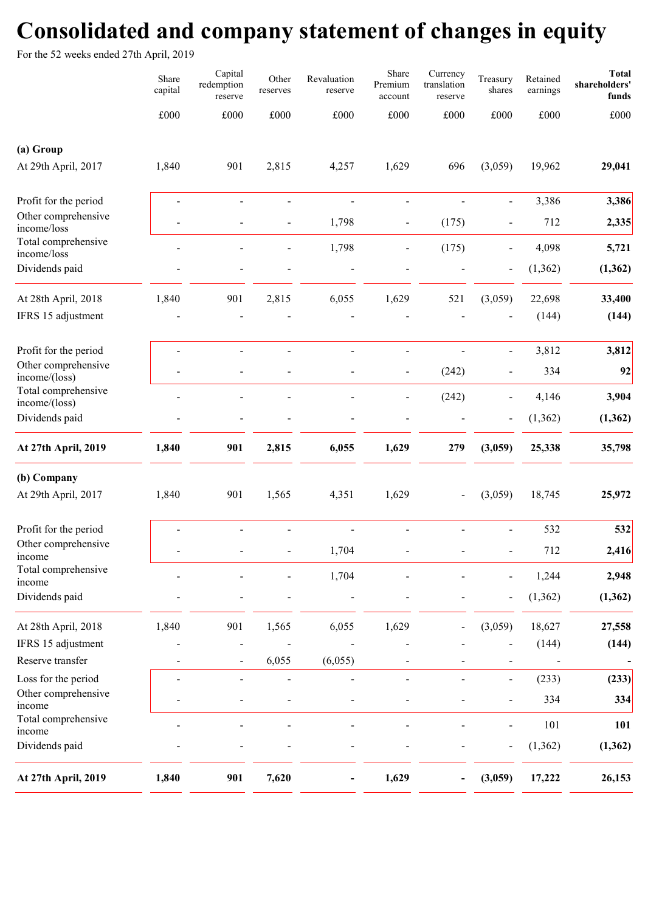# Consolidated and company statement of changes in equity

For the 52 weeks ended 27th April, 2019

|                                            | Share<br>capital | Capital<br>redemption<br>reserve | Other<br>reserves | Revaluation<br>reserve | Share<br>Premium<br>account | Currency<br>translation<br>reserve | Treasury<br>shares       | Retained<br>earnings | <b>Total</b><br>shareholders'<br>funds |
|--------------------------------------------|------------------|----------------------------------|-------------------|------------------------|-----------------------------|------------------------------------|--------------------------|----------------------|----------------------------------------|
|                                            | £000             | £000                             | £000              | £000                   | £000                        | $\pounds000$                       | £000                     | $\pounds000$         | £000                                   |
| (a) Group                                  |                  |                                  |                   |                        |                             |                                    |                          |                      |                                        |
| At 29th April, 2017                        | 1,840            | 901                              | 2,815             | 4,257                  | 1,629                       | 696                                | (3,059)                  | 19,962               | 29,041                                 |
| Profit for the period                      | ÷.               |                                  | $\overline{a}$    |                        |                             |                                    | $\overline{\phantom{a}}$ | 3,386                | 3,386                                  |
| Other comprehensive<br>income/loss         |                  |                                  | $\blacksquare$    | 1,798                  | $\overline{a}$              | (175)                              | $\frac{1}{2}$            | 712                  | 2,335                                  |
| Total comprehensive<br>income/loss         |                  |                                  |                   | 1,798                  |                             | (175)                              |                          | 4,098                | 5,721                                  |
| Dividends paid                             |                  |                                  |                   |                        |                             |                                    |                          | (1, 362)             | (1, 362)                               |
| At 28th April, 2018                        | 1,840            | 901                              | 2,815             | 6,055                  | 1,629                       | 521                                | (3,059)                  | 22,698               | 33,400                                 |
| IFRS 15 adjustment                         |                  |                                  |                   |                        |                             |                                    |                          | (144)                | (144)                                  |
| Profit for the period                      |                  |                                  |                   |                        | $\overline{a}$              |                                    | $\frac{1}{2}$            | 3,812                | 3,812                                  |
| Other comprehensive<br>income/(loss)       |                  |                                  |                   |                        | $\overline{a}$              | (242)                              | $\overline{a}$           | 334                  | 92                                     |
| Total comprehensive<br>income/(loss)       |                  |                                  |                   |                        |                             | (242)                              | $\overline{\phantom{m}}$ | 4,146                | 3,904                                  |
| Dividends paid                             |                  |                                  |                   |                        |                             |                                    |                          | (1, 362)             | (1, 362)                               |
| At 27th April, 2019                        | 1,840            | 901                              | 2,815             | 6,055                  | 1,629                       | 279                                | (3,059)                  | 25,338               | 35,798                                 |
| (b) Company                                |                  |                                  |                   |                        |                             |                                    |                          |                      |                                        |
| At 29th April, 2017                        | 1,840            | 901                              | 1,565             | 4,351                  | 1,629                       | $\overline{\phantom{0}}$           | (3,059)                  | 18,745               | 25,972                                 |
| Profit for the period                      |                  |                                  |                   |                        |                             |                                    |                          | 532                  | 532                                    |
| Other comprehensive<br>income              |                  |                                  |                   | 1,704                  |                             |                                    |                          | 712                  | 2,416                                  |
| Total comprehensive<br>income              |                  |                                  |                   | 1,704                  |                             |                                    |                          | 1,244                | 2,948                                  |
| Dividends paid                             |                  |                                  |                   |                        |                             |                                    |                          | (1, 362)             | (1, 362)                               |
| At 28th April, 2018                        | 1,840            | 901                              | 1,565             | 6,055                  | 1,629                       |                                    | (3,059)                  | 18,627               | 27,558                                 |
| IFRS 15 adjustment                         |                  |                                  |                   |                        |                             |                                    |                          | (144)                | (144)                                  |
| Reserve transfer                           |                  |                                  | 6,055             | (6,055)                |                             |                                    |                          |                      |                                        |
| Loss for the period<br>Other comprehensive |                  |                                  | $\overline{a}$    |                        |                             |                                    |                          | (233)                | (233)                                  |
| income                                     |                  |                                  | $\blacksquare$    |                        |                             |                                    | $\blacksquare$           | 334                  | 334                                    |
| Total comprehensive<br>income              |                  |                                  |                   |                        |                             |                                    |                          | 101                  | 101                                    |
| Dividends paid                             |                  |                                  |                   |                        |                             |                                    |                          | (1, 362)             | (1, 362)                               |
| At 27th April, 2019                        | 1,840            | 901                              | 7,620             |                        | 1,629                       |                                    | (3,059)                  | 17,222               | 26,153                                 |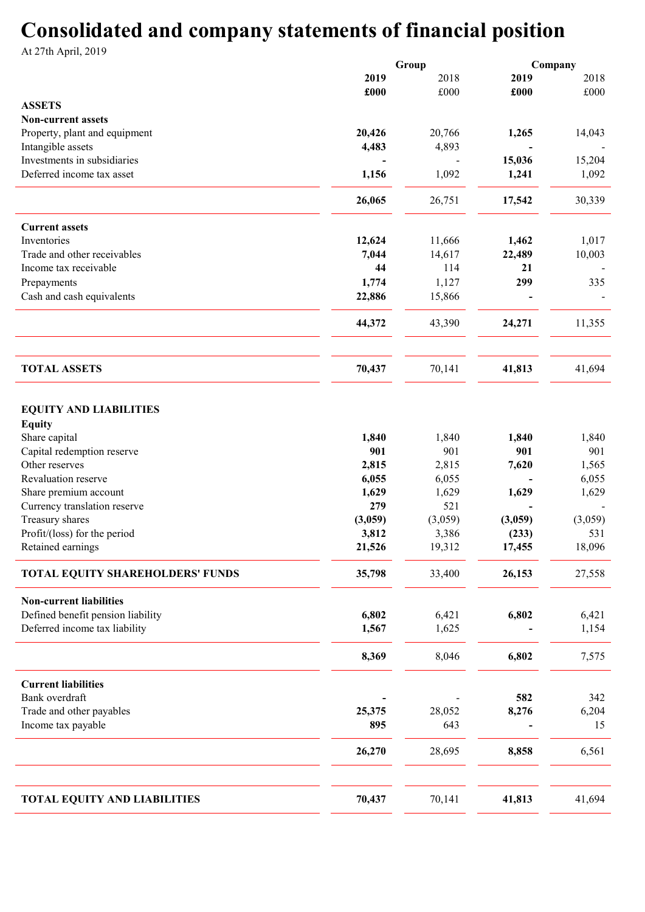# Consolidated and company statements of financial position

At 27th April, 2019

|                                                | Group   |         |         | Company |
|------------------------------------------------|---------|---------|---------|---------|
|                                                | 2019    | 2018    | 2019    | 2018    |
|                                                | £000    | £000    | £000    | £000    |
| <b>ASSETS</b>                                  |         |         |         |         |
| <b>Non-current assets</b>                      |         |         |         |         |
| Property, plant and equipment                  | 20,426  | 20,766  | 1,265   | 14,043  |
| Intangible assets                              | 4,483   | 4,893   |         |         |
| Investments in subsidiaries                    |         |         | 15,036  | 15,204  |
| Deferred income tax asset                      | 1,156   | 1,092   | 1,241   | 1,092   |
|                                                |         |         |         |         |
|                                                | 26,065  | 26,751  | 17,542  | 30,339  |
| <b>Current assets</b>                          |         |         |         |         |
| Inventories                                    | 12,624  | 11,666  | 1,462   | 1,017   |
| Trade and other receivables                    | 7,044   | 14,617  | 22,489  | 10,003  |
| Income tax receivable                          | 44      | 114     | 21      |         |
| Prepayments                                    | 1,774   | 1,127   | 299     | 335     |
| Cash and cash equivalents                      | 22,886  | 15,866  |         |         |
|                                                | 44,372  | 43,390  | 24,271  | 11,355  |
| <b>TOTAL ASSETS</b>                            | 70,437  | 70,141  | 41,813  | 41,694  |
|                                                |         |         |         |         |
| <b>EQUITY AND LIABILITIES</b><br><b>Equity</b> |         |         |         |         |
| Share capital                                  | 1,840   | 1,840   | 1,840   | 1,840   |
| Capital redemption reserve                     | 901     | 901     | 901     | 901     |
| Other reserves                                 | 2,815   | 2,815   | 7,620   | 1,565   |
| Revaluation reserve                            | 6,055   | 6,055   |         | 6,055   |
| Share premium account                          | 1,629   | 1,629   | 1,629   | 1,629   |
| Currency translation reserve                   | 279     | 521     |         |         |
| Treasury shares                                | (3,059) | (3,059) | (3,059) | (3,059) |
| Profit/(loss) for the period                   | 3,812   | 3,386   | (233)   | 531     |
| Retained earnings                              | 21,526  | 19,312  | 17,455  | 18,096  |
| TOTAL EQUITY SHAREHOLDERS' FUNDS               | 35,798  | 33,400  | 26,153  | 27,558  |
| <b>Non-current liabilities</b>                 |         |         |         |         |
| Defined benefit pension liability              | 6,802   | 6,421   | 6,802   | 6,421   |
| Deferred income tax liability                  | 1,567   | 1,625   |         | 1,154   |
|                                                | 8,369   | 8,046   | 6,802   | 7,575   |
| <b>Current liabilities</b>                     |         |         |         |         |
| Bank overdraft                                 |         |         | 582     | 342     |
| Trade and other payables                       | 25,375  | 28,052  | 8,276   | 6,204   |
| Income tax payable                             | 895     | 643     |         | 15      |
|                                                | 26,270  | 28,695  | 8,858   | 6,561   |
|                                                |         |         |         |         |
| <b>TOTAL EQUITY AND LIABILITIES</b>            | 70,437  | 70,141  | 41,813  | 41,694  |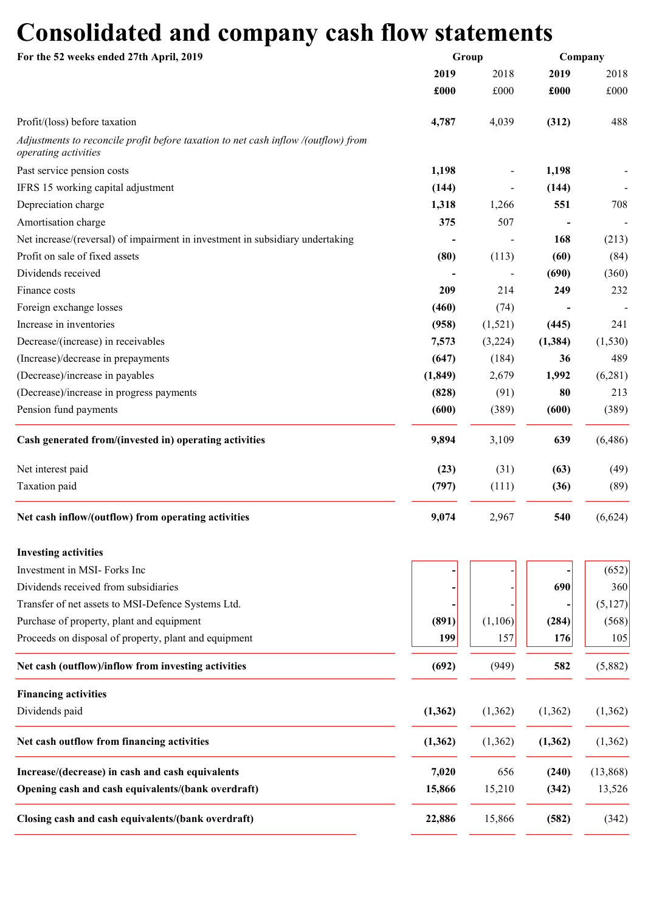# Consolidated and company cash flow statements

| For the 52 weeks ended 27th April, 2019                                                                    |          | Group   |          | Company  |  |
|------------------------------------------------------------------------------------------------------------|----------|---------|----------|----------|--|
|                                                                                                            | 2019     | 2018    | 2019     | 2018     |  |
|                                                                                                            | £000     | £000    | £000     | £000     |  |
| Profit/(loss) before taxation                                                                              | 4,787    | 4,039   | (312)    | 488      |  |
| Adjustments to reconcile profit before taxation to net cash inflow /(outflow) from<br>operating activities |          |         |          |          |  |
| Past service pension costs                                                                                 | 1,198    |         | 1,198    |          |  |
| IFRS 15 working capital adjustment                                                                         | (144)    |         | (144)    |          |  |
| Depreciation charge                                                                                        | 1,318    | 1,266   | 551      | 708      |  |
| Amortisation charge                                                                                        | 375      | 507     |          |          |  |
| Net increase/(reversal) of impairment in investment in subsidiary undertaking                              |          |         | 168      | (213)    |  |
| Profit on sale of fixed assets                                                                             | (80)     | (113)   | (60)     | (84)     |  |
| Dividends received                                                                                         |          |         | (690)    | (360)    |  |
| Finance costs                                                                                              | 209      | 214     | 249      | 232      |  |
| Foreign exchange losses                                                                                    | (460)    | (74)    |          |          |  |
| Increase in inventories                                                                                    | (958)    | (1,521) | (445)    | 241      |  |
| Decrease/(increase) in receivables                                                                         | 7,573    | (3,224) | (1, 384) | (1, 530) |  |
| (Increase)/decrease in prepayments                                                                         | (647)    | (184)   | 36       | 489      |  |
| (Decrease)/increase in payables                                                                            | (1, 849) |         | 1,992    |          |  |
|                                                                                                            |          | 2,679   |          | (6,281)  |  |
| (Decrease)/increase in progress payments                                                                   | (828)    | (91)    | 80       | 213      |  |
| Pension fund payments                                                                                      | (600)    | (389)   | (600)    | (389)    |  |
| Cash generated from/(invested in) operating activities                                                     | 9,894    | 3,109   | 639      | (6, 486) |  |
| Net interest paid                                                                                          | (23)     | (31)    | (63)     | (49)     |  |
| Taxation paid                                                                                              | (797)    | (111)   | (36)     | (89)     |  |
| Net cash inflow/(outflow) from operating activities                                                        | 9,074    | 2,967   | 540      | (6,624)  |  |
| <b>Investing activities</b>                                                                                |          |         |          |          |  |
| Investment in MSI- Forks Inc                                                                               |          |         |          | (652)    |  |
| Dividends received from subsidiaries                                                                       |          |         | 690      | 360      |  |
| Transfer of net assets to MSI-Defence Systems Ltd.                                                         |          |         |          | (5,127)  |  |
| Purchase of property, plant and equipment                                                                  | (891)    | (1,106) | (284)    | (568)    |  |
| Proceeds on disposal of property, plant and equipment                                                      | 199      | 157     | 176      | 105      |  |
| Net cash (outflow)/inflow from investing activities                                                        | (692)    | (949)   | 582      | (5,882)  |  |
|                                                                                                            |          |         |          |          |  |
| <b>Financing activities</b>                                                                                |          |         |          |          |  |
| Dividends paid                                                                                             | (1, 362) | (1,362) | (1, 362) | (1,362)  |  |
| Net cash outflow from financing activities                                                                 | (1, 362) | (1,362) | (1, 362) | (1,362)  |  |
| Increase/(decrease) in cash and cash equivalents                                                           | 7,020    | 656     | (240)    | (13,868) |  |
| Opening cash and cash equivalents/(bank overdraft)                                                         | 15,866   | 15,210  | (342)    | 13,526   |  |
| Closing cash and cash equivalents/(bank overdraft)                                                         | 22,886   | 15,866  | (582)    | (342)    |  |
|                                                                                                            |          |         |          |          |  |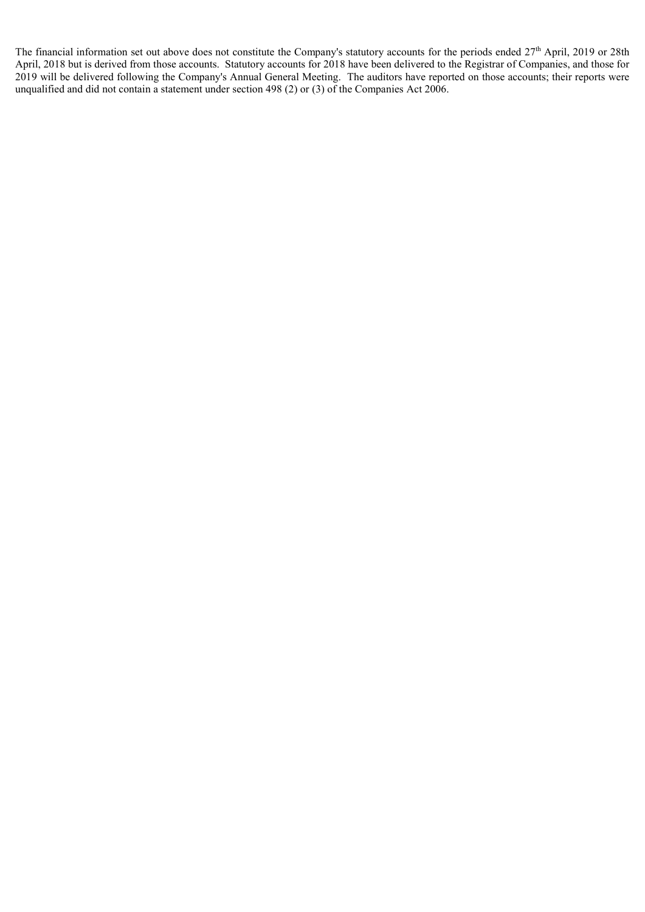The financial information set out above does not constitute the Company's statutory accounts for the periods ended 27<sup>th</sup> April, 2019 or 28th April, 2018 but is derived from those accounts. Statutory accounts for 2018 have been delivered to the Registrar of Companies, and those for 2019 will be delivered following the Company's Annual General Meeting. The auditors have reported on those accounts; their reports were unqualified and did not contain a statement under section 498 (2) or (3) of the Companies Act 2006.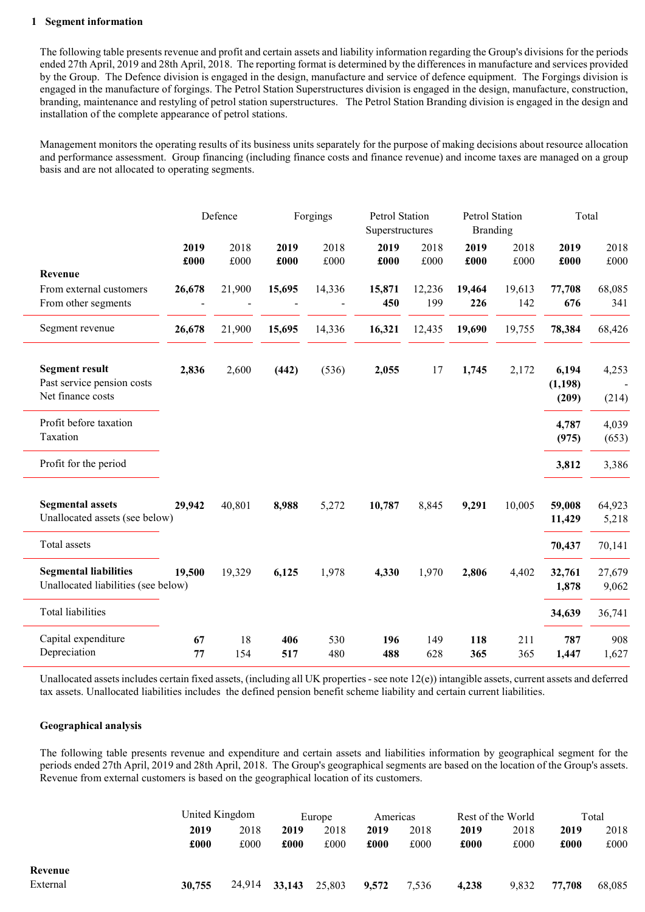### 1 Segment information

The following table presents revenue and profit and certain assets and liability information regarding the Group's divisions for the periods ended 27th April, 2019 and 28th April, 2018. The reporting format is determined by the differences in manufacture and services provided by the Group. The Defence division is engaged in the design, manufacture and service of defence equipment. The Forgings division is engaged in the manufacture of forgings. The Petrol Station Superstructures division is engaged in the design, manufacture, construction, branding, maintenance and restyling of petrol station superstructures. The Petrol Station Branding division is engaged in the design and installation of the complete appearance of petrol stations.

Management monitors the operating results of its business units separately for the purpose of making decisions about resource allocation and performance assessment. Group financing (including finance costs and finance revenue) and income taxes are managed on a group basis and are not allocated to operating segments.

|                                                                          | Defence      |              | Forgings     |              | Petrol Station<br>Superstructures |               | <b>Petrol Station</b><br><b>Branding</b> |               | Total                      |                 |
|--------------------------------------------------------------------------|--------------|--------------|--------------|--------------|-----------------------------------|---------------|------------------------------------------|---------------|----------------------------|-----------------|
|                                                                          | 2019<br>£000 | 2018<br>£000 | 2019<br>£000 | 2018<br>£000 | 2019<br>£000                      | 2018<br>£000  | 2019<br>£000                             | 2018<br>£000  | 2019<br>£000               | 2018<br>£000    |
| Revenue                                                                  |              |              |              |              |                                   |               |                                          |               |                            |                 |
| From external customers<br>From other segments                           | 26,678       | 21,900       | 15,695       | 14,336       | 15,871<br>450                     | 12,236<br>199 | 19,464<br>226                            | 19,613<br>142 | 77,708<br>676              | 68,085<br>341   |
| Segment revenue                                                          | 26,678       | 21,900       | 15,695       | 14,336       | 16,321                            | 12,435        | 19,690                                   | 19,755        | 78,384                     | 68,426          |
| <b>Segment result</b><br>Past service pension costs<br>Net finance costs | 2,836        | 2,600        | (442)        | (536)        | 2,055                             | 17            | 1,745                                    | 2,172         | 6,194<br>(1, 198)<br>(209) | 4,253<br>(214)  |
| Profit before taxation<br>Taxation                                       |              |              |              |              |                                   |               |                                          |               | 4,787<br>(975)             | 4,039<br>(653)  |
| Profit for the period                                                    |              |              |              |              |                                   |               |                                          |               | 3,812                      | 3,386           |
| <b>Segmental assets</b><br>Unallocated assets (see below)                | 29,942       | 40,801       | 8,988        | 5,272        | 10,787                            | 8,845         | 9,291                                    | 10,005        | 59,008<br>11,429           | 64,923<br>5,218 |
| Total assets                                                             |              |              |              |              |                                   |               |                                          |               | 70,437                     | 70,141          |
| <b>Segmental liabilities</b><br>Unallocated liabilities (see below)      | 19,500       | 19,329       | 6,125        | 1,978        | 4,330                             | 1,970         | 2,806                                    | 4,402         | 32,761<br>1,878            | 27,679<br>9,062 |
| <b>Total liabilities</b>                                                 |              |              |              |              |                                   |               |                                          |               | 34,639                     | 36,741          |
| Capital expenditure<br>Depreciation                                      | 67<br>77     | 18<br>154    | 406<br>517   | 530<br>480   | 196<br>488                        | 149<br>628    | 118<br>365                               | 211<br>365    | 787<br>1,447               | 908<br>1,627    |

Unallocated assets includes certain fixed assets, (including all UK properties - see note 12(e)) intangible assets, current assets and deferred tax assets. Unallocated liabilities includes the defined pension benefit scheme liability and certain current liabilities.

#### Geographical analysis

The following table presents revenue and expenditure and certain assets and liabilities information by geographical segment for the periods ended 27th April, 2019 and 28th April, 2018. The Group's geographical segments are based on the location of the Group's assets. Revenue from external customers is based on the geographical location of its customers.

|          |        | United Kingdom |        | Europe |       | Americas |       | Rest of the World |        | Total  |  |
|----------|--------|----------------|--------|--------|-------|----------|-------|-------------------|--------|--------|--|
|          | 2019   | 2018           | 2019   | 2018   | 2019  | 2018     | 2019  | 2018              | 2019   | 2018   |  |
|          | £000   | £000           | £000   | £000   | £000  | £000     | £000  | £000              | £000   | £000   |  |
| Revenue  |        |                |        |        |       |          |       |                   |        |        |  |
| External | 30,755 | 24,914         | 33,143 | 25,803 | 9.572 | 7,536    | 4,238 | 9,832             | 77,708 | 68,085 |  |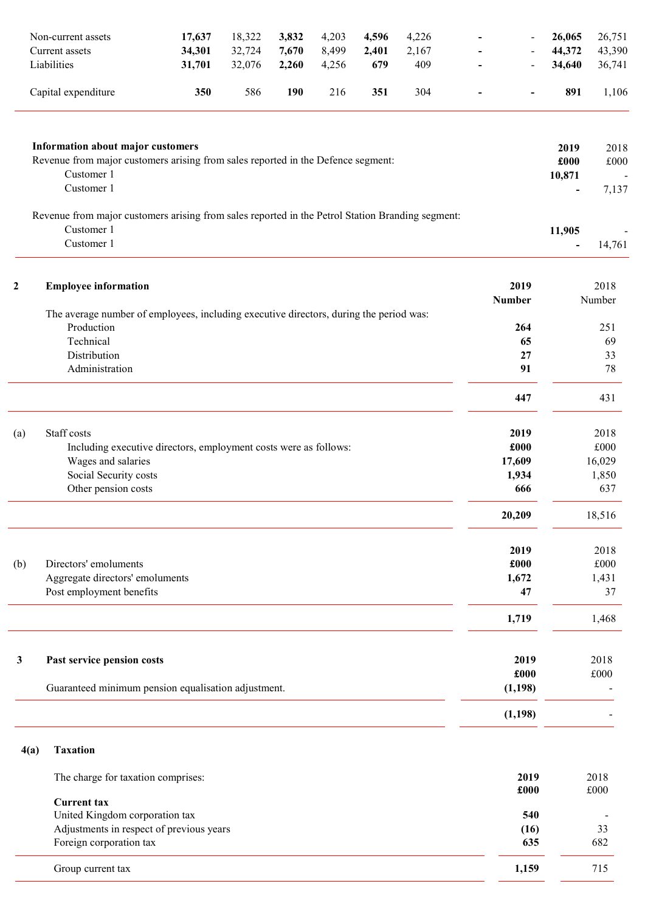|             | Non-current assets                                                                                             | 17,637 | 18,322 | 3,832      | 4,203 | 4,596 | 4,226 |               |                  | 26,065                             | 26,751               |
|-------------|----------------------------------------------------------------------------------------------------------------|--------|--------|------------|-------|-------|-------|---------------|------------------|------------------------------------|----------------------|
|             | Current assets                                                                                                 | 34,301 | 32,724 | 7,670      | 8,499 | 2,401 | 2,167 |               |                  | 44,372                             | 43,390               |
|             | Liabilities                                                                                                    | 31,701 | 32,076 | 2,260      | 4,256 | 679   | 409   |               |                  | 34,640                             | 36,741               |
|             | Capital expenditure                                                                                            | 350    | 586    | <b>190</b> | 216   | 351   | 304   |               | -                | 891                                | 1,106                |
|             | <b>Information about major customers</b>                                                                       |        |        |            |       |       |       |               |                  |                                    |                      |
|             | Revenue from major customers arising from sales reported in the Defence segment:<br>Customer 1                 |        |        |            |       |       |       |               |                  | 2019<br>£000<br>10,871             | 2018<br>£000         |
|             | Customer 1                                                                                                     |        |        |            |       |       |       |               |                  | $\qquad \qquad \blacksquare$       | 7,137                |
|             | Revenue from major customers arising from sales reported in the Petrol Station Branding segment:<br>Customer 1 |        |        |            |       |       |       |               |                  |                                    |                      |
|             | Customer 1                                                                                                     |        |        |            |       |       |       |               |                  | 11,905<br>$\overline{\phantom{a}}$ | 14,761               |
| $\mathbf 2$ | <b>Employee information</b>                                                                                    |        |        |            |       |       |       |               | 2019             |                                    | 2018                 |
|             | The average number of employees, including executive directors, during the period was:                         |        |        |            |       |       |       | <b>Number</b> |                  |                                    | Number               |
|             | Production                                                                                                     |        |        |            |       |       |       |               | 264              |                                    | 251                  |
|             | Technical                                                                                                      |        |        |            |       |       |       |               | 65               |                                    | 69                   |
|             | Distribution                                                                                                   |        |        |            |       |       |       |               | 27               |                                    | 33                   |
|             | Administration                                                                                                 |        |        |            |       |       |       |               | 91               |                                    | 78                   |
|             |                                                                                                                |        |        |            |       |       |       |               | 447              |                                    | 431                  |
| (a)         | Staff costs                                                                                                    |        |        |            |       |       |       |               | 2019             |                                    | 2018                 |
|             | Including executive directors, employment costs were as follows:                                               |        |        |            |       |       |       |               | £000             |                                    | £000                 |
|             | Wages and salaries                                                                                             |        |        |            |       |       |       |               | 17,609           |                                    | 16,029               |
|             | Social Security costs<br>Other pension costs                                                                   |        |        |            |       |       |       |               | 1,934<br>666     |                                    | 1,850<br>637         |
|             |                                                                                                                |        |        |            |       |       |       |               |                  |                                    |                      |
|             |                                                                                                                |        |        |            |       |       |       |               | 20,209           |                                    | 18,516               |
|             |                                                                                                                |        |        |            |       |       |       |               | 2019             |                                    | 2018                 |
| (b)         | Directors' emoluments                                                                                          |        |        |            |       |       |       |               | £000             |                                    | £000                 |
|             | Aggregate directors' emoluments<br>Post employment benefits                                                    |        |        |            |       |       |       |               | 1,672<br>47      |                                    | 1,431<br>37          |
|             |                                                                                                                |        |        |            |       |       |       |               | 1,719            |                                    | 1,468                |
|             |                                                                                                                |        |        |            |       |       |       |               |                  |                                    |                      |
| 3           | Past service pension costs                                                                                     |        |        |            |       |       |       |               | 2019             |                                    | 2018                 |
|             | Guaranteed minimum pension equalisation adjustment.                                                            |        |        |            |       |       |       |               | £000<br>(1, 198) |                                    | £000                 |
|             |                                                                                                                |        |        |            |       |       |       |               | (1, 198)         |                                    |                      |
|             |                                                                                                                |        |        |            |       |       |       |               |                  |                                    |                      |
| 4(a)        | <b>Taxation</b>                                                                                                |        |        |            |       |       |       |               |                  |                                    |                      |
|             | The charge for taxation comprises:                                                                             |        |        |            |       |       |       |               | 2019<br>£000     |                                    | 2018<br>$\pounds000$ |
|             | <b>Current tax</b>                                                                                             |        |        |            |       |       |       |               |                  |                                    |                      |
|             | United Kingdom corporation tax<br>Adjustments in respect of previous years                                     |        |        |            |       |       |       |               | 540<br>(16)      |                                    | 33                   |
|             | Foreign corporation tax                                                                                        |        |        |            |       |       |       |               | 635              |                                    | 682                  |
|             | Group current tax                                                                                              |        |        |            |       |       |       |               | 1,159            |                                    | 715                  |
|             |                                                                                                                |        |        |            |       |       |       |               |                  |                                    |                      |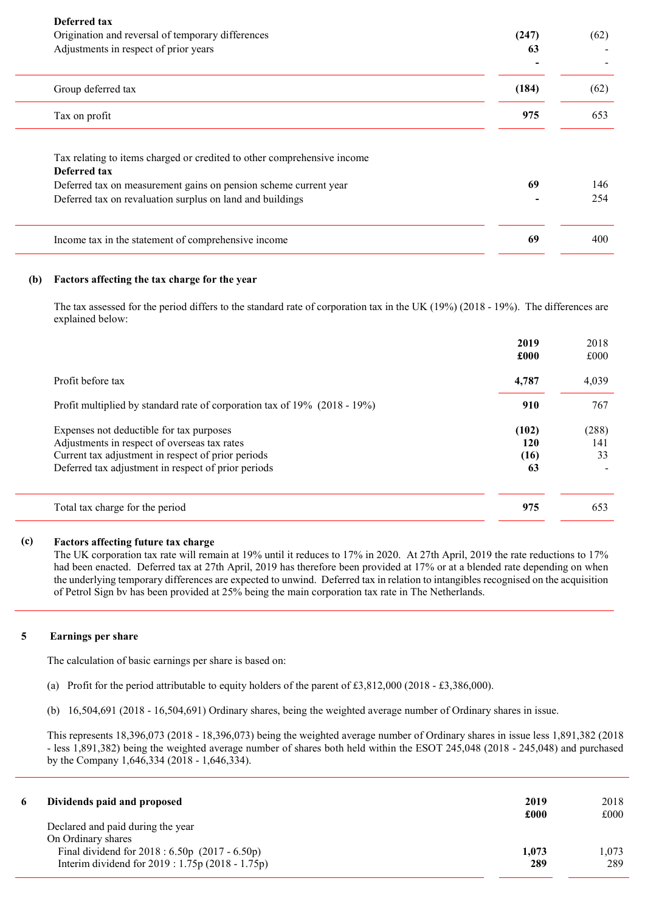| Deferred tax<br>Origination and reversal of temporary differences<br>Adjustments in respect of prior years                                                                                                               | (247)<br>63 | (62)       |
|--------------------------------------------------------------------------------------------------------------------------------------------------------------------------------------------------------------------------|-------------|------------|
| Group deferred tax                                                                                                                                                                                                       | (184)       | (62)       |
| Tax on profit                                                                                                                                                                                                            | 975         | 653        |
| Tax relating to items charged or credited to other comprehensive income<br>Deferred tax<br>Deferred tax on measurement gains on pension scheme current year<br>Deferred tax on revaluation surplus on land and buildings | 69          | 146<br>254 |
| Income tax in the statement of comprehensive income                                                                                                                                                                      | 69          | 400        |

#### (b) Factors affecting the tax charge for the year

The tax assessed for the period differs to the standard rate of corporation tax in the UK (19%) (2018 - 19%). The differences are explained below:

|                                                                                                                                                                                                       | 2019<br>£000               | 2018<br>£000       |
|-------------------------------------------------------------------------------------------------------------------------------------------------------------------------------------------------------|----------------------------|--------------------|
| Profit before tax                                                                                                                                                                                     | 4,787                      | 4,039              |
| Profit multiplied by standard rate of corporation tax of 19% (2018 - 19%)                                                                                                                             | 910                        | 767                |
| Expenses not deductible for tax purposes<br>Adjustments in respect of overseas tax rates<br>Current tax adjustment in respect of prior periods<br>Deferred tax adjustment in respect of prior periods | (102)<br>120<br>(16)<br>63 | (288)<br>141<br>33 |
| Total tax charge for the period                                                                                                                                                                       | 975                        | 653                |

# (c) Factors affecting future tax charge

The UK corporation tax rate will remain at 19% until it reduces to 17% in 2020. At 27th April, 2019 the rate reductions to 17% had been enacted. Deferred tax at 27th April, 2019 has therefore been provided at 17% or at a blended rate depending on when the underlying temporary differences are expected to unwind. Deferred tax in relation to intangibles recognised on the acquisition of Petrol Sign bv has been provided at 25% being the main corporation tax rate in The Netherlands.

## 5 Earnings per share

The calculation of basic earnings per share is based on:

- (a) Profit for the period attributable to equity holders of the parent of £3,812,000 (2018 £3,386,000).
- (b) 16,504,691 (2018 16,504,691) Ordinary shares, being the weighted average number of Ordinary shares in issue.

This represents 18,396,073 (2018 - 18,396,073) being the weighted average number of Ordinary shares in issue less 1,891,382 (2018 - less 1,891,382) being the weighted average number of shares both held within the ESOT 245,048 (2018 - 245,048) and purchased by the Company 1,646,334 (2018 - 1,646,334).

| 6 | Dividends paid and proposed                      | 2019  | 2018  |
|---|--------------------------------------------------|-------|-------|
|   |                                                  | £000  | £000  |
|   | Declared and paid during the year                |       |       |
|   | On Ordinary shares                               |       |       |
|   | Final dividend for $2018 : 6.50p$ (2017 - 6.50p) | 1,073 | 1.073 |
|   | Interim dividend for 2019 : 1.75p (2018 - 1.75p) | 289   | 289   |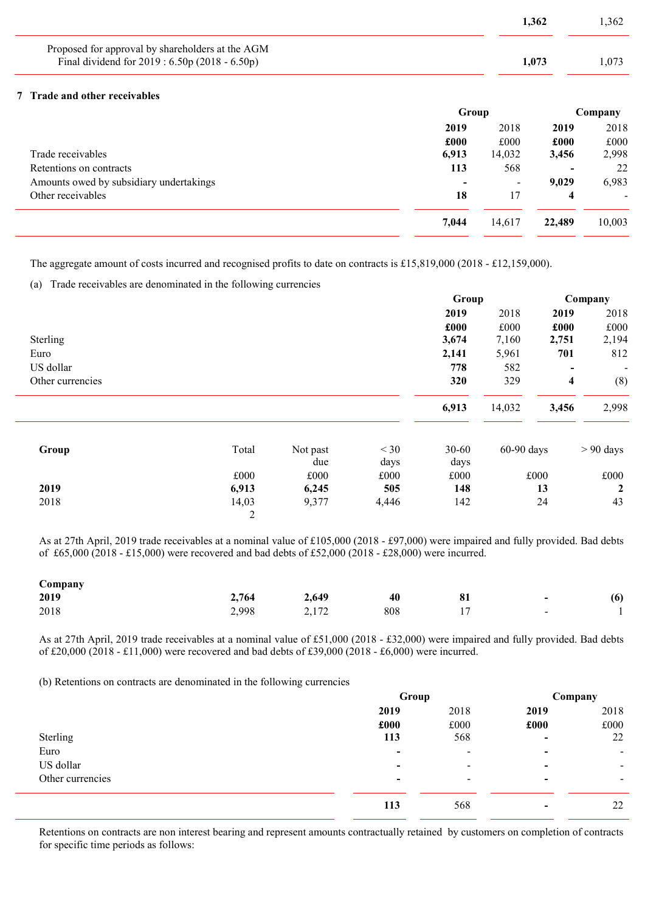|                                                                                                    |       | 1,362  |       | 1,362   |
|----------------------------------------------------------------------------------------------------|-------|--------|-------|---------|
| Proposed for approval by shareholders at the AGM<br>Final dividend for 2019 : 6.50p (2018 - 6.50p) |       | 1,073  |       | 1,073   |
| 7 Trade and other receivables                                                                      |       |        |       |         |
|                                                                                                    | Group |        |       | Company |
|                                                                                                    | 2019  | 2018   | 2019  | 2018    |
|                                                                                                    | £000  | £000   | £000  | £000    |
| Trade receivables                                                                                  | 6,913 | 14,032 | 3,456 | 2,998   |
| Retentions on contracts                                                                            | 113   | 568    |       | 22      |
| Amounts owed by subsidiary undertakings                                                            |       |        | 9,029 | 6,983   |
| Other receivables                                                                                  | 18    | 17     | 4     |         |
|                                                                                                    |       |        |       |         |

7,044 14,617 22,489 10,003

The aggregate amount of costs incurred and recognised profits to date on contracts is £15,819,000 (2018 - £12,159,000).

(a) Trade receivables are denominated in the following currencies

|                  |            |                 |                | Group             |              |       | Company                  |  |
|------------------|------------|-----------------|----------------|-------------------|--------------|-------|--------------------------|--|
|                  |            |                 |                | 2019              | 2018         | 2019  | 2018                     |  |
|                  |            |                 |                | £000              | £000         | £000  | £000                     |  |
| Sterling         |            |                 |                | 3,674             | 7,160        | 2,751 | 2,194                    |  |
| Euro             |            |                 |                | 2,141             | 5,961        | 701   | 812                      |  |
| US dollar        |            |                 |                | 778               | 582          |       | $\overline{\phantom{a}}$ |  |
| Other currencies |            |                 |                | 320               | 329          | 4     | (8)                      |  |
|                  |            |                 |                | 6,913             | 14,032       | 3,456 | 2,998                    |  |
| Group            | Total      | Not past<br>due | $<$ 30<br>days | $30 - 60$<br>days | $60-90$ days |       | $> 90$ days              |  |
|                  | £000       | £000            | £000           | £000              |              | £000  | £000                     |  |
| 2019             | 6,913      | 6,245           | 505            | 148               |              | 13    | $\mathbf{2}$             |  |
| 2018             | 14,03<br>2 | 9,377           | 4,446          | 142               |              | 24    | 43                       |  |

As at 27th April, 2019 trade receivables at a nominal value of £105,000 (2018 - £97,000) were impaired and fully provided. Bad debts of £65,000 (2018 - £15,000) were recovered and bad debts of £52,000 (2018 - £28,000) were incurred.

| Company |       |       |     |    |                          |     |
|---------|-------|-------|-----|----|--------------------------|-----|
| 2019    | 2,764 | 2,649 | 40  | 81 | $\sim$                   | (6) |
| 2018    | 2,998 | 2,172 | 808 |    | $\overline{\phantom{0}}$ |     |

As at 27th April, 2019 trade receivables at a nominal value of £51,000 (2018 - £32,000) were impaired and fully provided. Bad debts of £20,000 (2018 - £11,000) were recovered and bad debts of £39,000 (2018 - £6,000) were incurred.

(b) Retentions on contracts are denominated in the following currencies

|                  |                          | Group                    |                          | Company                  |  |
|------------------|--------------------------|--------------------------|--------------------------|--------------------------|--|
|                  | 2019                     | 2018                     | 2019                     | 2018                     |  |
|                  | £000                     | £000                     | £000                     | £000                     |  |
| Sterling         | 113                      | 568                      | $\overline{\phantom{0}}$ | 22                       |  |
| Euro             | ۰                        | $\blacksquare$           | $\overline{\phantom{0}}$ | $\blacksquare$           |  |
| US dollar        | -                        | $\overline{\phantom{0}}$ | $\overline{\phantom{0}}$ | $\blacksquare$           |  |
| Other currencies | $\overline{\phantom{0}}$ | $\overline{\phantom{0}}$ | $\overline{\phantom{0}}$ | $\overline{\phantom{a}}$ |  |
|                  | 113                      | 568                      | $\overline{\phantom{0}}$ | 22                       |  |

Retentions on contracts are non interest bearing and represent amounts contractually retained by customers on completion of contracts for specific time periods as follows: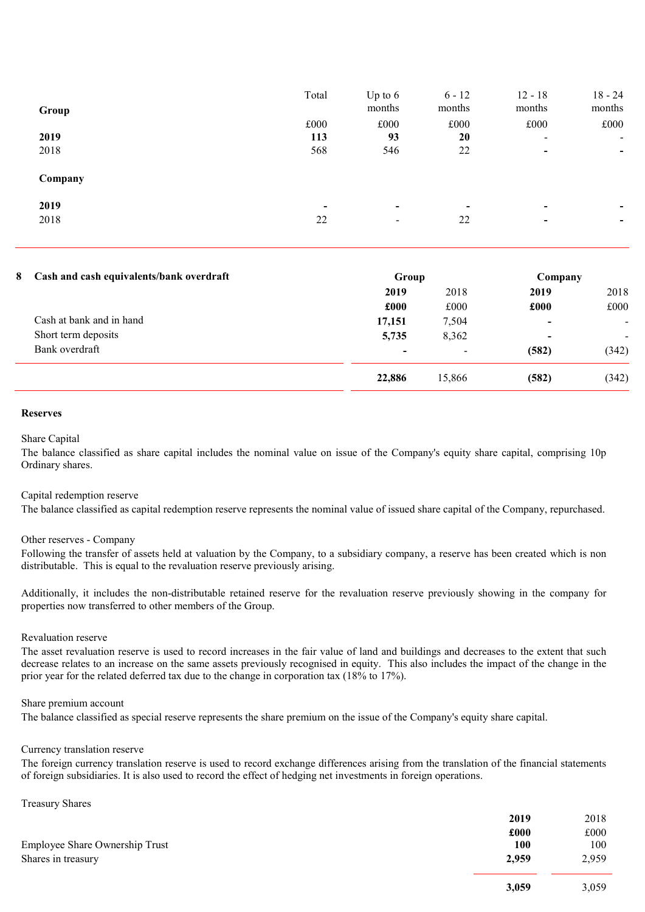| Group   | Total                    | Up to $6$<br>months      | $6 - 12$<br>months       | $12 - 18$<br>months      | $18 - 24$<br>months      |
|---------|--------------------------|--------------------------|--------------------------|--------------------------|--------------------------|
|         | £000                     | £000                     | £000                     | £000                     | £000                     |
| 2019    | 113                      | 93                       | 20                       | $\overline{\phantom{0}}$ | $\overline{\phantom{0}}$ |
| 2018    | 568                      | 546                      | 22                       | $\blacksquare$           | $\overline{\phantom{0}}$ |
| Company |                          |                          |                          |                          |                          |
| 2019    | $\overline{\phantom{0}}$ | $\overline{\phantom{0}}$ | $\overline{\phantom{a}}$ | $\,$                     | -                        |
| 2018    | 22                       | $\blacksquare$           | 22                       | $\blacksquare$           | ۰                        |
|         |                          |                          |                          |                          |                          |

## 8 Cash and cash equivalents/bank overdraft Group Croup Company

| Cash and cash equivalents/bank over than | Group                    |                          | COMPANY                  |                |
|------------------------------------------|--------------------------|--------------------------|--------------------------|----------------|
|                                          | 2019                     | 2018                     | 2019                     | 2018           |
|                                          | £000                     | £000                     | £000                     | £000           |
| Cash at bank and in hand                 | 17,151                   | 7,504                    |                          | $\blacksquare$ |
| Short term deposits                      | 5,735                    | 8,362                    | $\overline{\phantom{0}}$ |                |
| Bank overdraft                           | $\overline{\phantom{0}}$ | $\overline{\phantom{0}}$ | (582)                    | (342)          |
|                                          | 22,886                   | 15,866                   | (582)                    | (342)          |
|                                          |                          |                          |                          |                |

### Reserves

#### Share Capital

The balance classified as share capital includes the nominal value on issue of the Company's equity share capital, comprising 10p Ordinary shares.

### Capital redemption reserve

The balance classified as capital redemption reserve represents the nominal value of issued share capital of the Company, repurchased.

#### Other reserves - Company

Following the transfer of assets held at valuation by the Company, to a subsidiary company, a reserve has been created which is non distributable. This is equal to the revaluation reserve previously arising.

Additionally, it includes the non-distributable retained reserve for the revaluation reserve previously showing in the company for properties now transferred to other members of the Group.

## Revaluation reserve

The asset revaluation reserve is used to record increases in the fair value of land and buildings and decreases to the extent that such decrease relates to an increase on the same assets previously recognised in equity. This also includes the impact of the change in the prior year for the related deferred tax due to the change in corporation tax (18% to 17%).

### Share premium account

The balance classified as special reserve represents the share premium on the issue of the Company's equity share capital.

#### Currency translation reserve

The foreign currency translation reserve is used to record exchange differences arising from the translation of the financial statements of foreign subsidiaries. It is also used to record the effect of hedging net investments in foreign operations.

Treasury Shares

|                                | 2019  | 2018  |
|--------------------------------|-------|-------|
|                                | £000  | £000  |
| Employee Share Ownership Trust | 100   | 100   |
| Shares in treasury             | 2,959 | 2,959 |
|                                | 3,059 | 3,059 |